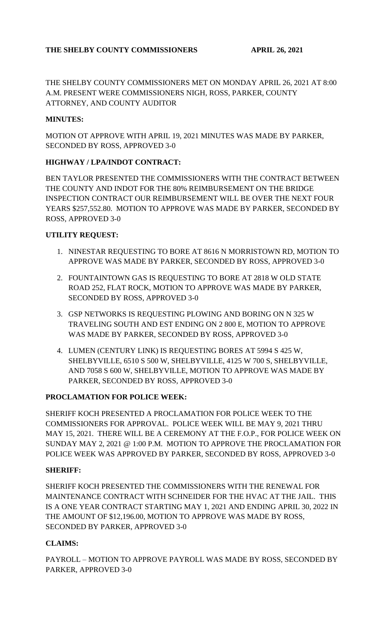THE SHELBY COUNTY COMMISSIONERS MET ON MONDAY APRIL 26, 2021 AT 8:00 A.M. PRESENT WERE COMMISSIONERS NIGH, ROSS, PARKER, COUNTY ATTORNEY, AND COUNTY AUDITOR

## **MINUTES:**

MOTION OT APPROVE WITH APRIL 19, 2021 MINUTES WAS MADE BY PARKER, SECONDED BY ROSS, APPROVED 3-0

## **HIGHWAY / LPA/INDOT CONTRACT:**

BEN TAYLOR PRESENTED THE COMMISSIONERS WITH THE CONTRACT BETWEEN THE COUNTY AND INDOT FOR THE 80% REIMBURSEMENT ON THE BRIDGE INSPECTION CONTRACT OUR REIMBURSEMENT WILL BE OVER THE NEXT FOUR YEARS \$257,552.80. MOTION TO APPROVE WAS MADE BY PARKER, SECONDED BY ROSS, APPROVED 3-0

#### **UTILITY REQUEST:**

- 1. NINESTAR REQUESTING TO BORE AT 8616 N MORRISTOWN RD, MOTION TO APPROVE WAS MADE BY PARKER, SECONDED BY ROSS, APPROVED 3-0
- 2. FOUNTAINTOWN GAS IS REQUESTING TO BORE AT 2818 W OLD STATE ROAD 252, FLAT ROCK, MOTION TO APPROVE WAS MADE BY PARKER, SECONDED BY ROSS, APPROVED 3-0
- 3. GSP NETWORKS IS REQUESTING PLOWING AND BORING ON N 325 W TRAVELING SOUTH AND EST ENDING ON 2 800 E, MOTION TO APPROVE WAS MADE BY PARKER, SECONDED BY ROSS, APPROVED 3-0
- 4. LUMEN (CENTURY LINK) IS REQUESTING BORES AT 5994 S 425 W, SHELBYVILLE, 6510 S 500 W, SHELBYVILLE, 4125 W 700 S, SHELBYVILLE, AND 7058 S 600 W, SHELBYVILLE, MOTION TO APPROVE WAS MADE BY PARKER, SECONDED BY ROSS, APPROVED 3-0

#### **PROCLAMATION FOR POLICE WEEK:**

SHERIFF KOCH PRESENTED A PROCLAMATION FOR POLICE WEEK TO THE COMMISSIONERS FOR APPROVAL. POLICE WEEK WILL BE MAY 9, 2021 THRU MAY 15, 2021. THERE WILL BE A CEREMONY AT THE F.O.P., FOR POLICE WEEK ON SUNDAY MAY 2, 2021 @ 1:00 P.M. MOTION TO APPROVE THE PROCLAMATION FOR POLICE WEEK WAS APPROVED BY PARKER, SECONDED BY ROSS, APPROVED 3-0

#### **SHERIFF:**

SHERIFF KOCH PRESENTED THE COMMISSIONERS WITH THE RENEWAL FOR MAINTENANCE CONTRACT WITH SCHNEIDER FOR THE HVAC AT THE JAIL. THIS IS A ONE YEAR CONTRACT STARTING MAY 1, 2021 AND ENDING APRIL 30, 2022 IN THE AMOUNT OF \$12,196.00, MOTION TO APPROVE WAS MADE BY ROSS, SECONDED BY PARKER, APPROVED 3-0

#### **CLAIMS:**

PAYROLL – MOTION TO APPROVE PAYROLL WAS MADE BY ROSS, SECONDED BY PARKER, APPROVED 3-0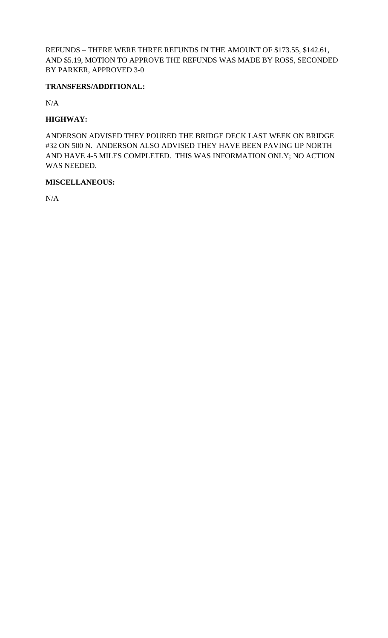REFUNDS – THERE WERE THREE REFUNDS IN THE AMOUNT OF \$173.55, \$142.61, AND \$5.19, MOTION TO APPROVE THE REFUNDS WAS MADE BY ROSS, SECONDED BY PARKER, APPROVED 3-0

## **TRANSFERS/ADDITIONAL:**

N/A

## **HIGHWAY:**

ANDERSON ADVISED THEY POURED THE BRIDGE DECK LAST WEEK ON BRIDGE #32 ON 500 N. ANDERSON ALSO ADVISED THEY HAVE BEEN PAVING UP NORTH AND HAVE 4-5 MILES COMPLETED. THIS WAS INFORMATION ONLY; NO ACTION WAS NEEDED.

#### **MISCELLANEOUS:**

N/A